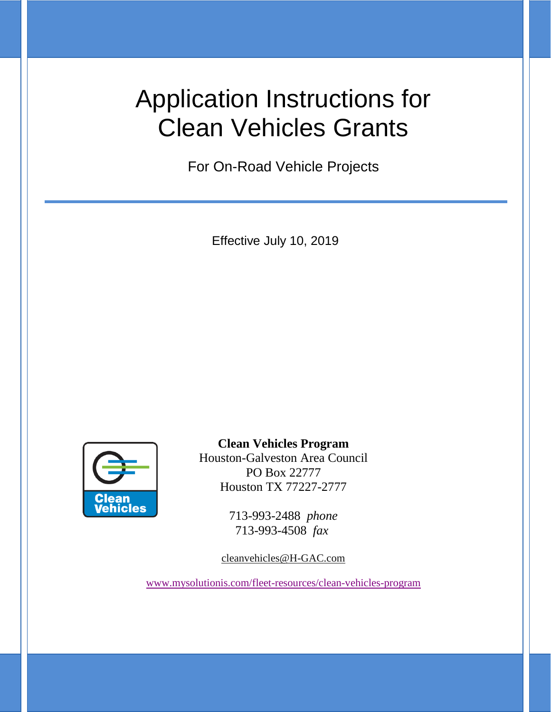# Application Instructions for Clean Vehicles Grants

For On-Road Vehicle Projects

Effective July 10, 2019



**Clean Vehicles Program**

Houston-Galveston Area Council PO Box 22777 Houston TX 77227-2777

> 713-993-2488 *phone* 713-993-4508 *fax*

[cleanvehicles@H-GAC.com](mailto:cleanvehicles@h-gac.com)

[www.mysolutionis.com/fleet-resources/clean-vehicles-program](http://www.mysolutionis.com/fleet-resources/clean-vehicles-program)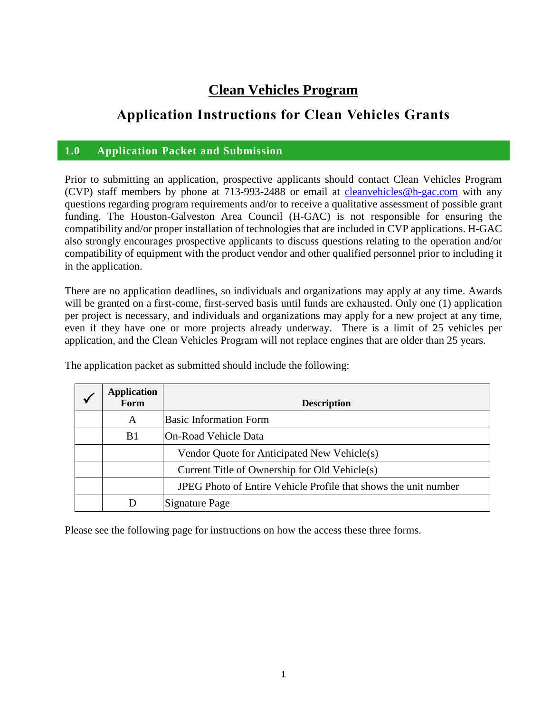## **Clean Vehicles Program**

## **Application Instructions for Clean Vehicles Grants**

#### **1.0 Application Packet and Submission**

Prior to submitting an application, prospective applicants should contact Clean Vehicles Program (CVP) staff members by phone at 713-993-2488 or email at [cleanvehicles@h-gac.com](mailto:cleanvehicles@h-gac.com) with any questions regarding program requirements and/or to receive a qualitative assessment of possible grant funding. The Houston-Galveston Area Council (H-GAC) is not responsible for ensuring the compatibility and/or proper installation of technologies that are included in CVP applications. H-GAC also strongly encourages prospective applicants to discuss questions relating to the operation and/or compatibility of equipment with the product vendor and other qualified personnel prior to including it in the application.

There are no application deadlines, so individuals and organizations may apply at any time. Awards will be granted on a first-come, first-served basis until funds are exhausted. Only one (1) application per project is necessary, and individuals and organizations may apply for a new project at any time, even if they have one or more projects already underway. There is a limit of 25 vehicles per application, and the Clean Vehicles Program will not replace engines that are older than 25 years.

| <b>Application</b><br>Form | <b>Description</b>                                              |
|----------------------------|-----------------------------------------------------------------|
| A                          | <b>Basic Information Form</b>                                   |
| B1                         | On-Road Vehicle Data                                            |
|                            | Vendor Quote for Anticipated New Vehicle(s)                     |
|                            | Current Title of Ownership for Old Vehicle(s)                   |
|                            | JPEG Photo of Entire Vehicle Profile that shows the unit number |
| Ð                          | Signature Page                                                  |

The application packet as submitted should include the following:

Please see the following page for instructions on how the access these three forms.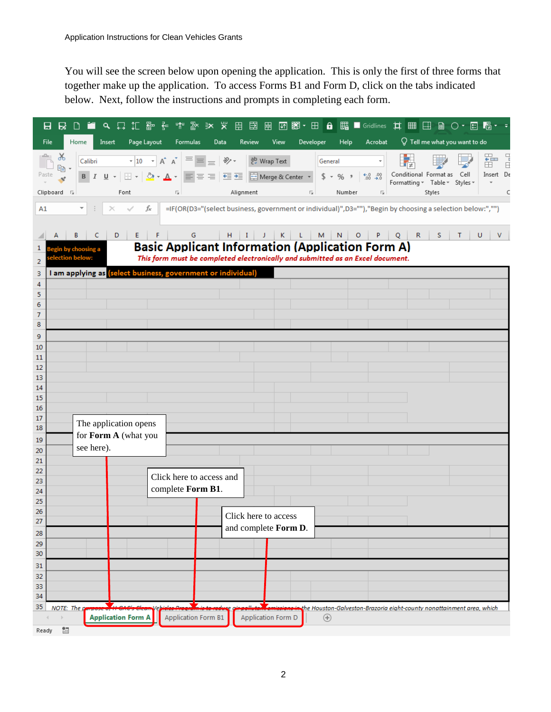You will see the screen below upon opening the application. This is only the first of three forms that together make up the application. To access Forms B1 and Form D, click on the tabs indicated below. Next, follow the instructions and prompts in completing each form.

| <b>A 口 行 堅 空 空 堅 堅 可 凹 囲</b><br><b>图图·田 @ 醌■Gridlines 其 用 国 @ ○·国 喝</b><br>日<br>R<br>$\Box$ is                                                                                                                                                                                                                                                                                             | $\tau = \overline{\tau}$                                                                                                                 |  |  |  |  |
|--------------------------------------------------------------------------------------------------------------------------------------------------------------------------------------------------------------------------------------------------------------------------------------------------------------------------------------------------------------------------------------------|------------------------------------------------------------------------------------------------------------------------------------------|--|--|--|--|
| File<br>Home<br>Page Layout<br>View<br><b>Help</b><br>Acrobat<br>Insert<br>Formulas<br>Data<br>Review<br>Developer                                                                                                                                                                                                                                                                         | $\sqrt{ }$ Tell me what you want to do                                                                                                   |  |  |  |  |
| $\alpha$<br>$\mathbf{a} \cdot   \mathbf{10} \rightarrow   \mathbf{A}^*   \mathbf{A}^*   \equiv \mathbf{b}   \mathbf{B} \rangle$<br>$e^{\text{ab}}$ Wrap Text<br>Calibri<br>General<br>酯 -<br>Paste<br>$\substack{+0.0\\-0.0}$ .00<br>$B$ $I$ $\underline{U}$ $\sim$<br>$$ - % +$<br>Alignment<br>Clipboard <sub>Is</sub><br>Font<br>5<br>Number<br>$\overline{\Gamma_{20}}$<br>Б           | 뚊<br>$\begin{array}{c}\n\Box \\ \Box\n\end{array}$<br>Conditional Format as Cell<br>Insert De<br>Formatting * Table * Styles *<br>Styles |  |  |  |  |
| A1<br>fx<br>=IF(OR(D3="(select business, government or individual)", D3=""),"Begin by choosing a selection below:","")<br>$\times$                                                                                                                                                                                                                                                         |                                                                                                                                          |  |  |  |  |
|                                                                                                                                                                                                                                                                                                                                                                                            |                                                                                                                                          |  |  |  |  |
| $\mathsf{R}$<br>G<br>M<br>N<br>P<br>Q<br>B<br>- C<br>D<br>E.<br>F<br>H.<br>Т.<br>K.<br>L.<br>$\circ$<br>s<br>Τ<br>U<br>J<br>v<br><b>Basic Applicant Information (Application Form A)</b><br>1<br>in by choosing a<br>This form must be completed electronically and submitted as an Excel document.<br>on below:<br>2<br>I am applying as (select business, government or individual)<br>з |                                                                                                                                          |  |  |  |  |
| 4                                                                                                                                                                                                                                                                                                                                                                                          |                                                                                                                                          |  |  |  |  |
| 5                                                                                                                                                                                                                                                                                                                                                                                          |                                                                                                                                          |  |  |  |  |
| 6<br>7                                                                                                                                                                                                                                                                                                                                                                                     |                                                                                                                                          |  |  |  |  |
| 8                                                                                                                                                                                                                                                                                                                                                                                          |                                                                                                                                          |  |  |  |  |
| 9                                                                                                                                                                                                                                                                                                                                                                                          |                                                                                                                                          |  |  |  |  |
| 10<br>11                                                                                                                                                                                                                                                                                                                                                                                   |                                                                                                                                          |  |  |  |  |
| 12                                                                                                                                                                                                                                                                                                                                                                                         |                                                                                                                                          |  |  |  |  |
| 13<br>14                                                                                                                                                                                                                                                                                                                                                                                   |                                                                                                                                          |  |  |  |  |
| 15                                                                                                                                                                                                                                                                                                                                                                                         |                                                                                                                                          |  |  |  |  |
| 16                                                                                                                                                                                                                                                                                                                                                                                         |                                                                                                                                          |  |  |  |  |
| 17<br>The application opens<br>18                                                                                                                                                                                                                                                                                                                                                          |                                                                                                                                          |  |  |  |  |
| for Form A (what you<br>19                                                                                                                                                                                                                                                                                                                                                                 |                                                                                                                                          |  |  |  |  |
| see here).<br>20                                                                                                                                                                                                                                                                                                                                                                           |                                                                                                                                          |  |  |  |  |
| 21<br>22                                                                                                                                                                                                                                                                                                                                                                                   |                                                                                                                                          |  |  |  |  |
| Click here to access and<br>23                                                                                                                                                                                                                                                                                                                                                             |                                                                                                                                          |  |  |  |  |
| complete Form B1.<br>24                                                                                                                                                                                                                                                                                                                                                                    |                                                                                                                                          |  |  |  |  |
| 25<br>26                                                                                                                                                                                                                                                                                                                                                                                   |                                                                                                                                          |  |  |  |  |
| Click here to access<br>27<br>and complete Form D.                                                                                                                                                                                                                                                                                                                                         |                                                                                                                                          |  |  |  |  |
| 28                                                                                                                                                                                                                                                                                                                                                                                         |                                                                                                                                          |  |  |  |  |
| 29<br>30                                                                                                                                                                                                                                                                                                                                                                                   |                                                                                                                                          |  |  |  |  |
| 31                                                                                                                                                                                                                                                                                                                                                                                         |                                                                                                                                          |  |  |  |  |
| 32                                                                                                                                                                                                                                                                                                                                                                                         |                                                                                                                                          |  |  |  |  |
| 33<br>34                                                                                                                                                                                                                                                                                                                                                                                   |                                                                                                                                          |  |  |  |  |
| Ζ.,<br>35<br>$NOTE:$ The $g$                                                                                                                                                                                                                                                                                                                                                               | the Houston-Galveston-Brazoria eight-county nonattainment area, which                                                                    |  |  |  |  |
| <b>Application Form A</b><br>Application Form B1<br>Application Form D<br>$^{\circledast}$                                                                                                                                                                                                                                                                                                 |                                                                                                                                          |  |  |  |  |
| 體<br>Ready                                                                                                                                                                                                                                                                                                                                                                                 |                                                                                                                                          |  |  |  |  |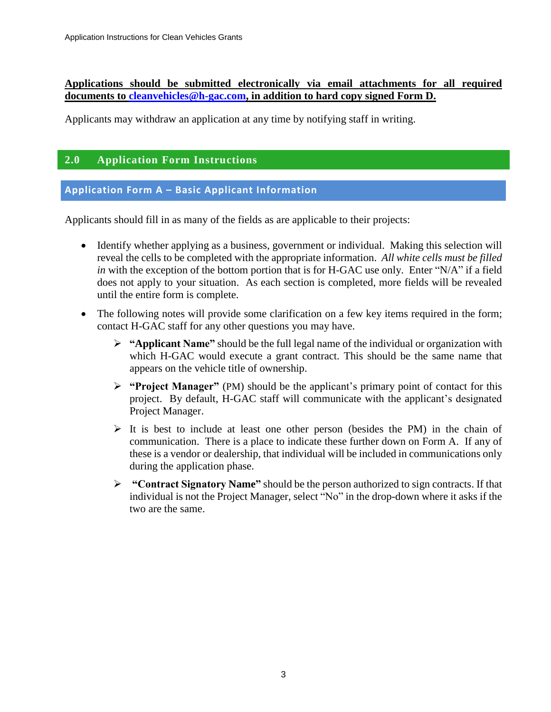#### **Applications should be submitted electronically via email attachments for all required documents to [cleanvehicles@h-gac.com,](mailto:cleanvehicles@h-gac.com) in addition to hard copy signed Form D.**

Applicants may withdraw an application at any time by notifying staff in writing.

#### **2.0 Application Form Instructions**

#### **Application Form A – Basic Applicant Information**

Applicants should fill in as many of the fields as are applicable to their projects:

- Identify whether applying as a business, government or individual. Making this selection will reveal the cells to be completed with the appropriate information. *All white cells must be filled in* with the exception of the bottom portion that is for H-GAC use only. Enter "N/A" if a field does not apply to your situation. As each section is completed, more fields will be revealed until the entire form is complete.
- The following notes will provide some clarification on a few key items required in the form; contact H-GAC staff for any other questions you may have.
	- ➢ **"Applicant Name"** should be the full legal name of the individual or organization with which H-GAC would execute a grant contract. This should be the same name that appears on the vehicle title of ownership.
	- ➢ **"Project Manager"** (PM) should be the applicant's primary point of contact for this project. By default, H-GAC staff will communicate with the applicant's designated Project Manager.
	- ➢ It is best to include at least one other person (besides the PM) in the chain of communication. There is a place to indicate these further down on Form A. If any of these is a vendor or dealership, that individual will be included in communications only during the application phase.
	- ➢ **"Contract Signatory Name"** should be the person authorized to sign contracts. If that individual is not the Project Manager, select "No" in the drop-down where it asks if the two are the same.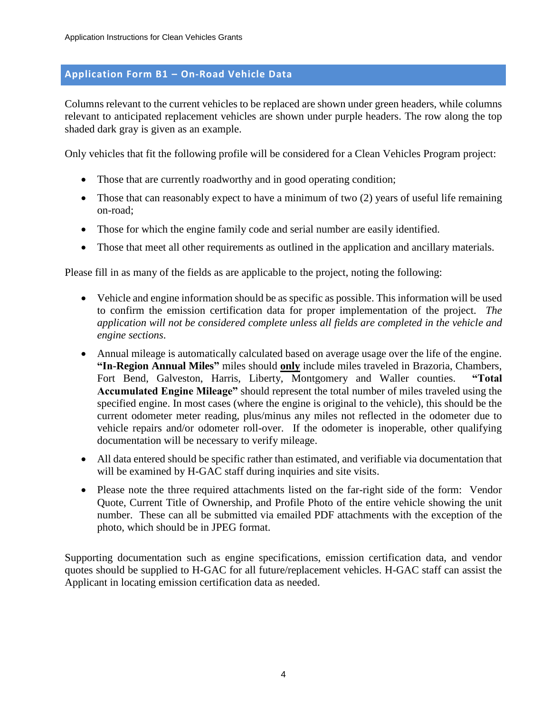#### **Application Form B1 – On-Road Vehicle Data**

Columns relevant to the current vehicles to be replaced are shown under green headers, while columns relevant to anticipated replacement vehicles are shown under purple headers. The row along the top shaded dark gray is given as an example.

Only vehicles that fit the following profile will be considered for a Clean Vehicles Program project:

- Those that are currently roadworthy and in good operating condition;
- Those that can reasonably expect to have a minimum of two (2) years of useful life remaining on-road;
- Those for which the engine family code and serial number are easily identified.
- Those that meet all other requirements as outlined in the application and ancillary materials.

Please fill in as many of the fields as are applicable to the project, noting the following:

- Vehicle and engine information should be as specific as possible. This information will be used to confirm the emission certification data for proper implementation of the project. *The application will not be considered complete unless all fields are completed in the vehicle and engine sections*.
- Annual mileage is automatically calculated based on average usage over the life of the engine. **"In-Region Annual Miles"** miles should **only** include miles traveled in Brazoria, Chambers, Fort Bend, Galveston, Harris, Liberty, Montgomery and Waller counties. **"Total Accumulated Engine Mileage"** should represent the total number of miles traveled using the specified engine. In most cases (where the engine is original to the vehicle), this should be the current odometer meter reading, plus/minus any miles not reflected in the odometer due to vehicle repairs and/or odometer roll-over. If the odometer is inoperable, other qualifying documentation will be necessary to verify mileage.
- All data entered should be specific rather than estimated, and verifiable via documentation that will be examined by H-GAC staff during inquiries and site visits.
- Please note the three required attachments listed on the far-right side of the form: Vendor Quote, Current Title of Ownership, and Profile Photo of the entire vehicle showing the unit number. These can all be submitted via emailed PDF attachments with the exception of the photo, which should be in JPEG format.

Supporting documentation such as engine specifications, emission certification data, and vendor quotes should be supplied to H-GAC for all future/replacement vehicles. H-GAC staff can assist the Applicant in locating emission certification data as needed.